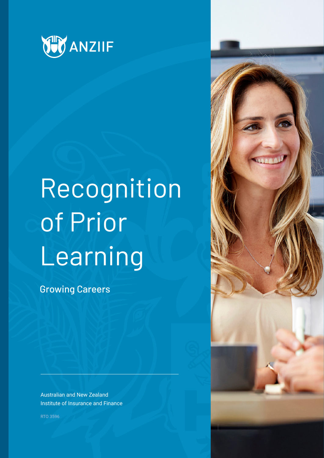

# Recognition of Prior Learning

Growing Careers

Australian and New Zealand Institute of Insurance and Finance

RTO 3596

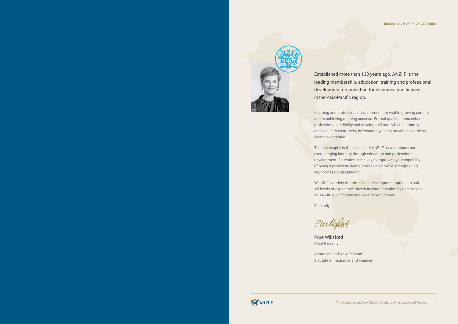

Established more than 130 years ago, ANZIIF is the leading membership, education, training and professional development organisation for insurance and finance in the Asia-Pacific region.

Learning and professional development are vital to growing careers and to achieving ongoing success. Formal qualifications enhance professional credibility and develop skill sets which ultimately adds value to customers, by ensuring you can provide a seamless claims experience.

This philosophy is the essence of ANZIIF as we support our everchanging industry through education and professional development. Education is the key to improving your capability of being a proficient claims professional, while strengthening your professional standing.

We offer a variety of professional development options to suit all levels of experience. Invest in your education by undertaking an ANZIIF qualification and excel in your career.

Sincerely

PWilkfard

Australian and New Zealand Institute of Insurance and Finance

**YV** ANZIIF

Prue Willsford Chief Executive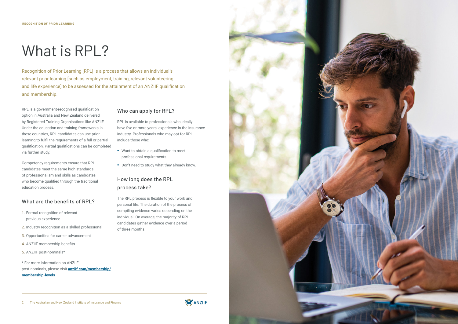# What is RPL?

Recognition of Prior Learning [RPL] is a process that allows an individual's relevant prior learning [such as employment, training, relevant volunteering and life experience] to be assessed for the attainment of an ANZIIF qualification and membership.

RPL is a government-recognised qualification option in Australia and New Zealand delivered by Registered Training Organisations like ANZIIF. Under the education and training frameworks in these countries, RPL candidates can use prior learning to fulfil the requirements of a full or partial qualification. Partial qualifications can be completed via further study.

Competency requirements ensure that RPL candidates meet the same high standards of professionalism and skills as candidates who become qualified through the traditional education process.

### What are the benefits of RPL?

- 1. Formal recognition of relevant previous experience
- 2. Industry recognition as a skilled professional
- 3. Opportunities for career advancement
- 4. ANZIIF membership benefits
- 5. ANZIIF post-nominals\*

\* For more information on ANZIIF post-nominals, please visit **[anziif.com/membership/](https://anziif.com/Membership/Member-Levels) [membership-levels](https://anziif.com/Membership/Member-Levels)**

### Who can apply for RPL?

RPL is available to professionals who ideally have five or more years' experience in the insurance industry. Professionals who may opt for RPL include those who:

- Want to obtain a qualification to meet professional requirements
- Don't need to study what they already know.

## How long does the RPL process take?

The RPL process is flexible to your work and personal life. The duration of the process of compiling evidence varies depending on the individual. On average, the majority of RPL candidates gather evidence over a period of three months.



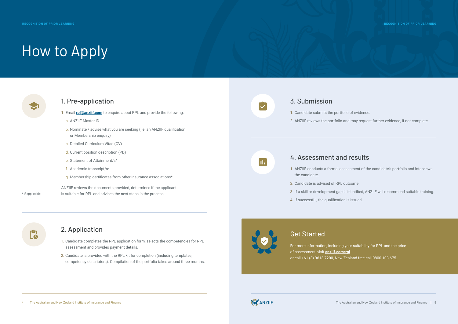#### **RECOGNITION OF PRIOR LEARNING**

# Get Started

# How to Apply

For more information, including your suitability for RPL and the price of assessment; visit **[anziif.com/rpl](https://anziif.com/studying%20with%20anziif/recognition%20of%20prior%20learning)** or call +61 (3) 9613 7200, New Zealand free call 0800 103 675.

1. Candidate submits the portfolio of evidence.

2. ANZIIF reviews the portfolio and may request further evidence, if not complete.

1. ANZIIF conducts a formal assessment of the candidate's portfolio and interviews

3. If a skill or development gap is identified, ANZIIF will recommend suitable training.

# 2. Application





- 1. Candidate completes the RPL application form, selects the competencies for RPL assessment and provides payment details.
- 2. Candidate is provided with the RPL kit for completion (including templates, competency descriptors). Compilation of the portfolio takes around three months.